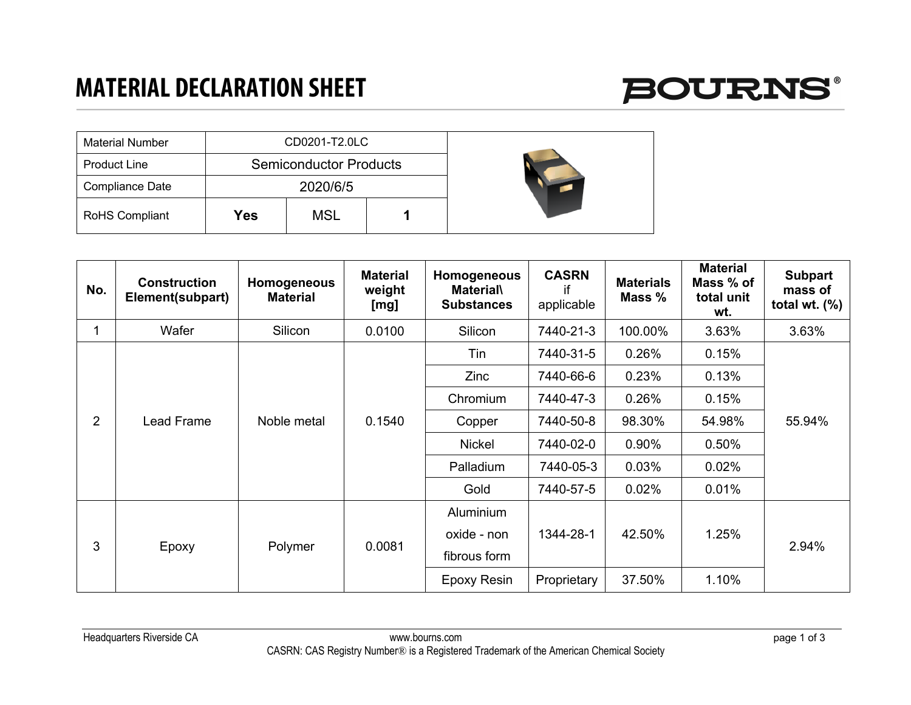## **MATERIAL DECLARATION SHEET**



| <b>Material Number</b> | CD0201-T2.0LC                 |          |  |  |
|------------------------|-------------------------------|----------|--|--|
| <b>Product Line</b>    | <b>Semiconductor Products</b> |          |  |  |
| Compliance Date        |                               | 2020/6/5 |  |  |
| RoHS Compliant         | Yes                           | MSL      |  |  |

| No.            | <b>Construction</b><br>Element(subpart) | Homogeneous<br><b>Material</b> | <b>Material</b><br>weight<br>[mg] | Homogeneous<br><b>Material\</b><br><b>Substances</b> | <b>CASRN</b><br>if<br>applicable | <b>Materials</b><br>Mass % | <b>Material</b><br>Mass % of<br>total unit<br>wt. | <b>Subpart</b><br>mass of<br>total wt. $(\%)$ |
|----------------|-----------------------------------------|--------------------------------|-----------------------------------|------------------------------------------------------|----------------------------------|----------------------------|---------------------------------------------------|-----------------------------------------------|
|                | Wafer                                   | Silicon                        | 0.0100                            | Silicon                                              | 7440-21-3                        | 100.00%                    | 3.63%                                             | 3.63%                                         |
| $\overline{2}$ | <b>Lead Frame</b>                       | Noble metal                    | 0.1540                            | Tin                                                  | 7440-31-5                        | 0.26%                      | 0.15%                                             | 55.94%                                        |
|                |                                         |                                |                                   | Zinc                                                 | 7440-66-6                        | 0.23%                      | 0.13%                                             |                                               |
|                |                                         |                                |                                   | Chromium                                             | 7440-47-3                        | 0.26%                      | 0.15%                                             |                                               |
|                |                                         |                                |                                   | Copper                                               | 7440-50-8                        | 98.30%                     | 54.98%                                            |                                               |
|                |                                         |                                |                                   | <b>Nickel</b>                                        | 7440-02-0                        | 0.90%                      | 0.50%                                             |                                               |
|                |                                         |                                |                                   | Palladium                                            | 7440-05-3                        | 0.03%                      | 0.02%                                             |                                               |
|                |                                         |                                |                                   | Gold                                                 | 7440-57-5                        | 0.02%                      | 0.01%                                             |                                               |
| 3              | Epoxy                                   | Polymer                        | 0.0081                            | Aluminium                                            |                                  | 42.50%<br>1.25%            |                                                   | 2.94%                                         |
|                |                                         |                                |                                   | oxide - non                                          | 1344-28-1                        |                            |                                                   |                                               |
|                |                                         |                                |                                   | fibrous form                                         |                                  |                            |                                                   |                                               |
|                |                                         |                                |                                   | Epoxy Resin                                          | Proprietary                      | 37.50%                     | 1.10%                                             |                                               |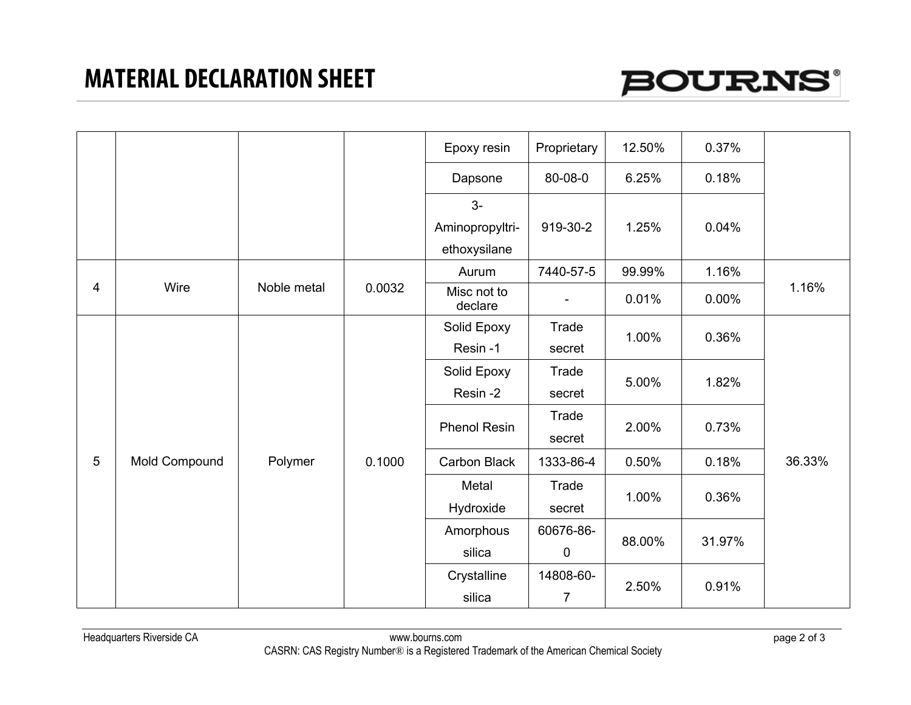## **MATERIAL DECLARATION SHEET**



|                 |               |             |        | Epoxy resin            | Proprietary              | 12.50% | 0.37%    |        |
|-----------------|---------------|-------------|--------|------------------------|--------------------------|--------|----------|--------|
|                 |               |             |        | Dapsone                | 80-08-0                  | 6.25%  | 0.18%    |        |
|                 |               |             |        | $3-$                   |                          |        |          |        |
|                 |               |             |        | Aminopropyltri-        | 919-30-2                 | 1.25%  | 0.04%    |        |
|                 |               |             |        | ethoxysilane           |                          |        |          |        |
| 4               | Wire          | Noble metal | 0.0032 | Aurum                  | 7440-57-5                | 99.99% | 1.16%    | 1.16%  |
|                 |               |             |        | Misc not to<br>declare | $\overline{\phantom{a}}$ | 0.01%  | $0.00\%$ |        |
| $5\phantom{.0}$ | Mold Compound | Polymer     | 0.1000 | Solid Epoxy            | Trade                    | 1.00%  | 0.36%    |        |
|                 |               |             |        | Resin-1                | secret                   |        |          |        |
|                 |               |             |        | Solid Epoxy            | Trade                    | 5.00%  | 1.82%    |        |
|                 |               |             |        | Resin-2                | secret                   |        |          |        |
|                 |               |             |        | Phenol Resin           | Trade                    | 2.00%  | 0.73%    |        |
|                 |               |             |        |                        | secret                   |        |          |        |
|                 |               |             |        | <b>Carbon Black</b>    | 1333-86-4                | 0.50%  | 0.18%    | 36.33% |
|                 |               |             |        | Metal                  | Trade                    | 1.00%  | 0.36%    |        |
|                 |               |             |        | Hydroxide              | secret                   |        |          |        |
|                 |               |             |        | Amorphous              | 60676-86-                | 88.00% | 31.97%   |        |
|                 |               |             |        | silica                 | $\pmb{0}$                |        |          |        |
|                 |               |             |        | Crystalline            | 14808-60-                | 2.50%  | 0.91%    |        |
|                 |               |             |        | silica                 | $\overline{7}$           |        |          |        |